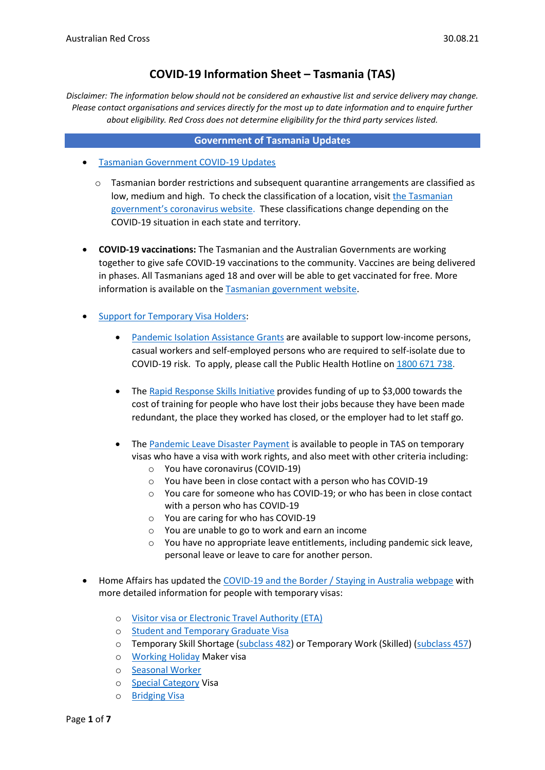# **COVID-19 Information Sheet – Tasmania (TAS)**

*Disclaimer: The information below should not be considered an exhaustive list and service delivery may change. Please contact organisations and services directly for the most up to date information and to enquire further about eligibility. Red Cross does not determine eligibility for the third party services listed.*

### **Government of Tasmania Updates**

- [Tasmanian Government COVID-19 Updates](https://www.coronavirus.tas.gov.au/facts/important-community-updates)
	- o Tasmanian border restrictions and subsequent quarantine arrangements are classified as low, medium and high. To check the classification of a location, visit [the Tasmanian](https://www.coronavirus.tas.gov.au/travellers-and-visitors/coming-to-tasmania)  [government's](https://www.coronavirus.tas.gov.au/travellers-and-visitors/coming-to-tasmania) coronavirus website. These classifications change depending on the COVID-19 situation in each state and territory.
- **COVID-19 vaccinations:** The Tasmanian and the Australian Governments are working together to give safe COVID-19 vaccinations to the community. Vaccines are being delivered in phases. All Tasmanians aged 18 and over will be able to get vaccinated for free. More information is available on th[e Tasmanian government website.](https://www.coronavirus.tas.gov.au/vaccination-information/covid-19-vaccination)
- [Support for Temporary Visa Holders:](https://www.coronavirus.tas.gov.au/travellers-and-visitors/temporary-visa-holders)
	- [Pandemic Isolation Assistance Grants](https://www.coronavirus.tas.gov.au/stimulus-and-support/household#emergency) are available to support low-income persons, casual workers and self-employed persons who are required to self-isolate due to COVID-19 risk. To apply, please call the Public Health Hotline on [1800 671 738.](tel:1800671738)
	- The [Rapid Response Skills Initiative](https://www.skills.tas.gov.au/learners/support_for_retrenched_and_redundant_workers) provides funding of up to \$3,000 towards the cost of training for people who have lost their jobs because they have been made redundant, the place they worked has closed, or the employer had to let staff go.
	- The [Pandemic Leave Disaster Payment](https://www.servicesaustralia.gov.au/individuals/services/centrelink/pandemic-leave-disaster-payment-tasmania/who-can-get-it) is available to people in TAS on temporary visas who have a visa with work rights, and also meet with other criteria including:
		- o You have coronavirus (COVID-19)
		- o You have been in close contact with a person who has COVID-19
		- o You care for someone who has COVID-19; or who has been in close contact with a person who has COVID-19
		- o You are caring for who has COVID-19
		- o You are unable to go to work and earn an income
		- o You have no appropriate leave entitlements, including pandemic sick leave, personal leave or leave to care for another person.
- Home Affairs has updated the [COVID-19 and the Border / Staying in Australia webpage](https://covid19.homeaffairs.gov.au/staying-australia#13) with more detailed information for people with temporary visas:
	- o [Visitor visa or Electronic Travel Authority \(ETA\)](https://covid19.homeaffairs.gov.au/visitor-visa-or-electronic-travel-authority-eta)
	- o [Student and Temporary Graduate Visa](https://covid19.homeaffairs.gov.au/student-and-temporary-graduate-visas)
	- o Temporary Skill Shortage [\(subclass 482\)](https://covid19.homeaffairs.gov.au/temporary-skill-shortage-visa-subclass-482-or-temporary-work-skilled-visa-subclass-457) or Temporary Work (Skilled) [\(subclass 457\)](https://covid19.homeaffairs.gov.au/temporary-skill-shortage-visa-subclass-482-or-temporary-work-skilled-visa-subclass-457)
	- o [Working Holiday](https://covid19.homeaffairs.gov.au/working-holiday-maker-visa) Maker visa
	- o [Seasonal Worker](https://covid19.homeaffairs.gov.au/seasonal-worker)
	- o [Special Category](https://covid19.homeaffairs.gov.au/special-category-visa) Visa
	- o [Bridging Visa](https://covid19.homeaffairs.gov.au/bridging-visa)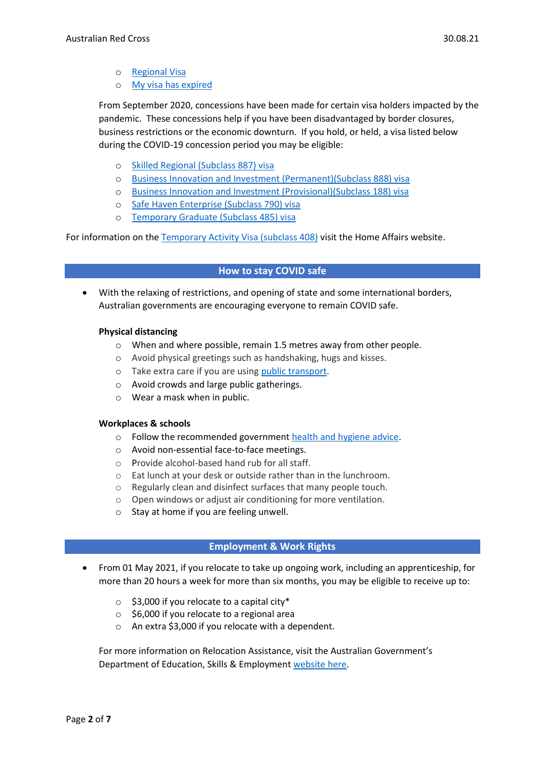- o [Regional Visa](https://covid19.homeaffairs.gov.au/regional-visa)
- o [My visa has expired](https://covid19.homeaffairs.gov.au/my-visa-has-expired)

From September 2020, concessions have been made for certain visa holders impacted by the pandemic. These concessions help if you have been disadvantaged by border closures, business restrictions or the economic downturn. If you hold, or held, a visa listed below during the COVID-19 concession period you may be eligible:

- o [Skilled Regional \(Subclass 887\) visa](https://immi.homeaffairs.gov.au/visas/getting-a-visa/visa-listing/skilled-regional-887)
- o [Business Innovation and Investment \(Permanent\)\(Subclass 888\) visa](https://immi.homeaffairs.gov.au/visas/getting-a-visa/visa-listing/business-innovation-and-investment-888)
- o [Business Innovation and Investment \(Provisional\)\(Subclass 188\) visa](https://immi.homeaffairs.gov.au/visas/getting-a-visa/visa-listing/business-innovation-and-investment-188)
- o [Safe Haven Enterprise \(Subclass 790\) visa](https://immi.homeaffairs.gov.au/visas/getting-a-visa/visa-listing/safe-haven-enterprise-790/safe-haven-enterprise-visa-pathway)
- o [Temporary Graduate \(Subclass 485\) visa](https://immi.homeaffairs.gov.au/visas/getting-a-visa/visa-listing/temporary-graduate-485)

For information on the [Temporary Activity Visa \(subclass 408\)](https://immi.homeaffairs.gov.au/visas/getting-a-visa/visa-listing/temporary-activity-408/australian-government-endorsed-events#Overview) visit the Home Affairs website.

## **How to stay COVID safe**

• With the relaxing of restrictions, and opening of state and some international borders, Australian governments are encouraging everyone to remain COVID safe.

### **Physical distancing**

- o When and where possible, remain 1.5 metres away from other people.
- o Avoid physical greetings such as handshaking, hugs and kisses.
- o Take extra care if you are using [public transport.](https://www.infrastructure.gov.au/transport/files/covid19_public_transport_principles_29052020.pdf)
- o Avoid crowds and large public gatherings.
- o Wear a mask when in public.

### **Workplaces & schools**

- o Follow the recommended government [health and hygiene advice.](https://www.health.gov.au/news/health-alerts/novel-coronavirus-2019-ncov-health-alert/how-to-protect-yourself-and-others-from-coronavirus-covid-19/good-hygiene-for-coronavirus-covid-19)
- o Avoid non-essential face-to-face meetings.
- o Provide alcohol-based hand rub for all staff.
- o Eat lunch at your desk or outside rather than in the lunchroom.
- o Regularly clean and disinfect surfaces that many people touch.
- o Open windows or adjust air conditioning for more ventilation.
- o Stay at home if you are feeling unwell.

# **Employment & Work Rights**

- From 01 May 2021, if you relocate to take up ongoing work, including an apprenticeship, for more than 20 hours a week for more than six months, you may be eligible to receive up to:
	- $\circ$  \$3,000 if you relocate to a capital city\*
	- o \$6,000 if you relocate to a regional area
	- o An extra \$3,000 if you relocate with a dependent.

For more information on Relocation Assistance, visit the Australian Government's Department of Education, Skills & Employmen[t website here.](https://www.dese.gov.au/rattuaj)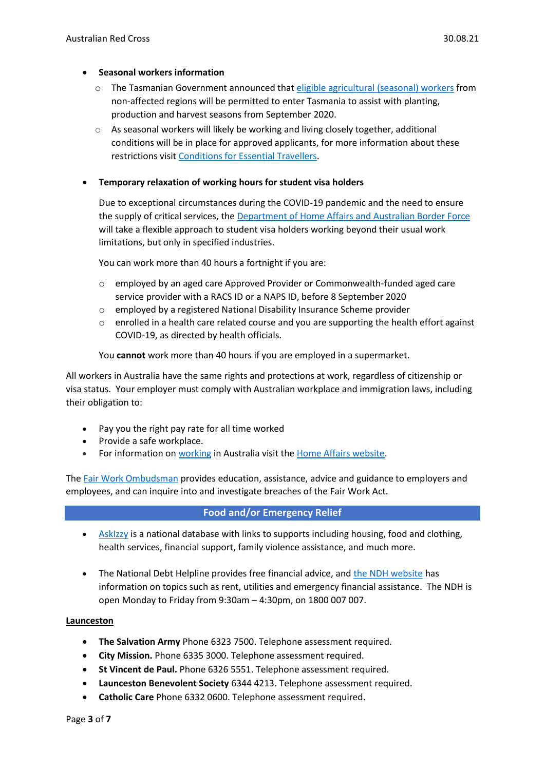### • **Seasonal workers information**

- o The Tasmanian Government announced that [eligible agricultural \(seasonal\) workers](https://www.coronavirus.tas.gov.au/travellers-and-visitors/essential-travellers/information-for-seasonal-workers) from non-affected regions will be permitted to enter Tasmania to assist with planting, production and harvest seasons from September 2020.
- o As seasonal workers will likely be working and living closely together, additional conditions will be in place for approved applicants, for more information about these restrictions visit [Conditions for Essential Travellers.](https://www.coronavirus.tas.gov.au/travellers-and-visitors/essential-travellers/conditions-for-essential-travellers)

## • **Temporary relaxation of working hours for student visa holders**

Due to exceptional circumstances during the COVID-19 pandemic and the need to ensure the supply of critical services, the [Department of Home Affairs and Australian Border Force](https://immi.homeaffairs.gov.au/visas/getting-a-visa/visa-listing/student-500/temporary-relaxation-of-working-hours-for-student-visa-holders) will take a flexible approach to student visa holders working beyond their usual work limitations, but only in specified industries.

You can work more than 40 hours a fortnight if you are:

- o employed by an aged care Approved Provider or Commonwealth-funded aged care service provider with a RACS ID or a NAPS ID, before 8 September 2020
- o employed by a registered National Disability Insurance Scheme provider
- $\circ$  enrolled in a health care related course and you are supporting the health effort against COVID-19, as directed by health officials.

You **cannot** work more than 40 hours if you are employed in a supermarket.

All workers in Australia have the same rights and protections at work, regardless of citizenship or visa status. Your employer must comply with Australian workplace and immigration laws, including their obligation to:

- Pay you the right pay rate for all time worked
- Provide a safe workplace.
- For information on [working](https://immi.homeaffairs.gov.au/visas/getting-a-visa/visa-listing/student-500/temporary-relaxation-of-working-hours-for-student-visa-holders) in Australia visit the [Home Affairs website.](https://immi.homeaffairs.gov.au/visas/working-in-australia)

The Fair Work [Ombudsman](https://www.fairwork.gov.au/) provides education, assistance, advice and guidance to employers and employees, and can inquire into and investigate breaches of the Fair Work Act.

### **Food and/or Emergency Relief**

- [AskIzzy](https://askizzy.org.au/) is a national database with links to supports including housing, food and clothing, health services, financial support, family violence assistance, and much more.
- The National Debt Helpline provides free financial advice, and [the NDH website](https://ndh.org.au/) has information on topics such as rent, utilities and emergency financial assistance. The NDH is open Monday to Friday from 9:30am – 4:30pm, on 1800 007 007.

### **Launceston**

- **The Salvation Army** Phone 6323 7500. Telephone assessment required.
- **City Mission.** Phone 6335 3000. Telephone assessment required.
- **St Vincent de Paul.** Phone 6326 5551. Telephone assessment required.
- **Launceston Benevolent Society** 6344 4213. Telephone assessment required.
- **Catholic Care** Phone 6332 0600. Telephone assessment required.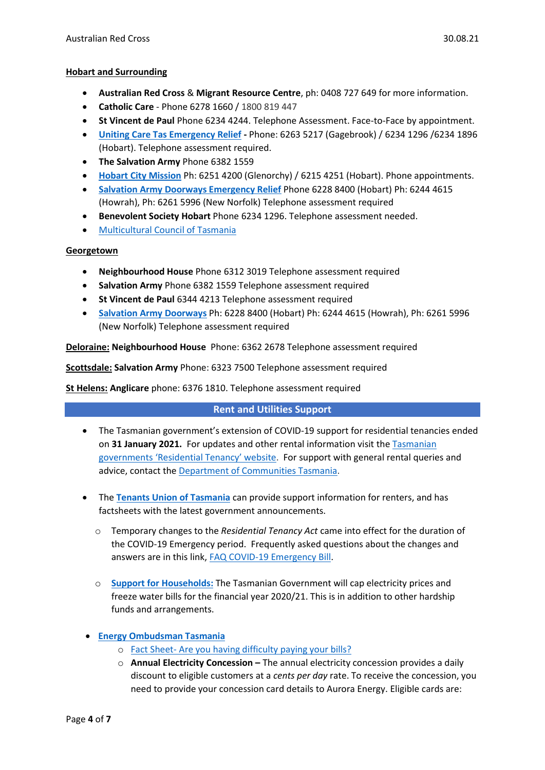- **Australian Red Cross** & **Migrant Resource Centre**, ph: 0408 727 649 for more information.
- **Catholic Care**  Phone 6278 1660 / 1800 819 447
- **St Vincent de Paul** Phone 6234 4244. Telephone Assessment. Face-to-Face by appointment.
- **[Uniting Care Tas Emergency Relief](file://///rcau.org.au/Citrix/FolderRedirection/nhoagland/Desktop/S&T%20Info%20Sheets/tas.unitingcare.org.au) -** Phone: 6263 5217 (Gagebrook) / 6234 1296 /6234 1896 (Hobart). Telephone assessment required.
- **The Salvation Army** Phone 6382 1559
- **[Hobart City Mission](file://///rcau.org.au/Citrix/FolderRedirection/nhoagland/Desktop/S&T%20Info%20Sheets/Hobartcitymission.org.au)** Ph: 6251 4200 (Glenorchy) / 6215 4251 (Hobart). Phone appointments.
- **[Salvation Army Doorways Emergency Relief](file://///rcau.org.au/Citrix/FolderRedirection/nhoagland/Desktop/S&T%20Info%20Sheets/salvationarmy.org.au/Hobart)** Phone 6228 8400 (Hobart) Ph: 6244 4615 (Howrah), Ph: 6261 5996 (New Norfolk) Telephone assessment required
- **Benevolent Society Hobart** Phone 6234 1296. Telephone assessment needed.
- [Multicultural Council of Tasmania](https://mcot.org.au/)

# **Georgetown**

- **Neighbourhood House** Phone 6312 3019 Telephone assessment required
- **Salvation Army** Phone 6382 1559 Telephone assessment required
- **St Vincent de Paul** 6344 4213 Telephone assessment required
- **[Salvation Army Doorways](file://///rcau.org.au/Citrix/FolderRedirection/nhoagland/Desktop/S&T%20Info%20Sheets/salvationarmy.org.au/Hobart)** Ph: 6228 8400 (Hobart) Ph: 6244 4615 (Howrah), Ph: 6261 5996 (New Norfolk) Telephone assessment required

**Deloraine: Neighbourhood House** Phone: 6362 2678 Telephone assessment required

**Scottsdale: Salvation Army** Phone: 6323 7500 Telephone assessment required

**St Helens: Anglicare** phone: 6376 1810. Telephone assessment required

# **Rent and Utilities Support**

- The Tasmanian government's extension of COVID-19 support for residential tenancies ended on **31 January 2021.** For updates and other rental information visit th[e Tasmanian](https://www.cbos.tas.gov.au/newsroom/covid-19-novel-coronavirus/residential-tenancies-covid-19-emergency-provisions) government[s 'Residential Tenancy'](https://www.cbos.tas.gov.au/newsroom/covid-19-novel-coronavirus/residential-tenancies-covid-19-emergency-provisions) website. For support with general rental queries and advice, contact the [Department of Communities Tasmania.](https://www.communities.tas.gov.au/housing/rental-services)
- The **[Tenants Union of Tasmania](http://tutas.org.au/)** can provide support information for renters, and has factsheets with the latest government announcements.
	- o Temporary changes to the *Residential Tenancy Act* came into effect for the duration of the COVID-19 Emergency period. Frequently asked questions about the changes and answers are in this link[, FAQ COVID-19 Emergency Bill.](http://tutas.org.au/faq-covid-19-emergency-bill/)
	- o **[Support for Households:](https://coronavirus.tas.gov.au/stimulus-and-support/household)** The Tasmanian Government will cap electricity prices and freeze water bills for the financial year 2020/21. This is in addition to other hardship funds and arrangements.

# • **[Energy Ombudsman Tasmania](https://www.energyombudsman.tas.gov.au/common-issues/cant-pay-your-bill)**

- o Fact Sheet- [Are you having difficulty paying your bills?](https://www.energyombudsman.tas.gov.au/__data/assets/pdf_file/0003/447321/Fact-Sheet-Are-you-having-difficulty-paying-your-bills.pdf)
- o **Annual Electricity Concession –** The annual electricity concession provides a daily discount to eligible customers at a *cents per day* rate. To receive the concession, you need to provide your concession card details to Aurora Energy. Eligible cards are: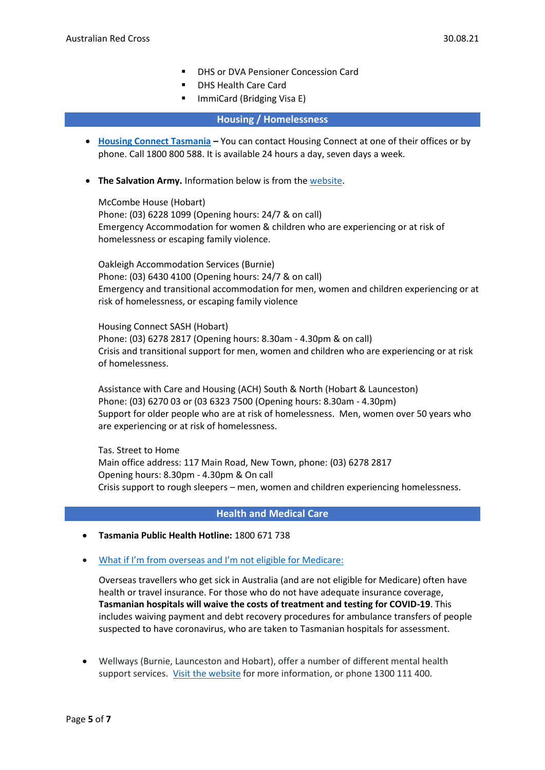- DHS or DVA Pensioner Concession Card
- DHS Health Care Card
- ImmiCard (Bridging Visa E)

## **Housing / Homelessness**

- **[Housing Connect Tasmania](https://www.communities.tas.gov.au/housing/housing-connect/contact-housing-connect) –** You can contact Housing Connect at one of their offices or by phone. Call 1800 800 588. It is available 24 hours a day, seven days a week.
- **The Salvation Army.** Information below is from the [website.](https://www.salvationarmy.org.au/locations/tasmania/social-support-services/housing-and-homeless-services/)

McCombe House (Hobart) Phone: (03) 6228 1099 (Opening hours: 24/7 & on call) Emergency Accommodation for women & children who are experiencing or at risk of homelessness or escaping family violence.

Oakleigh Accommodation Services (Burnie) Phone: (03) 6430 4100 (Opening hours: 24/7 & on call) Emergency and transitional accommodation for men, women and children experiencing or at risk of homelessness, or escaping family violence

Housing Connect SASH (Hobart) Phone: (03) 6278 2817 (Opening hours: 8.30am - 4.30pm & on call) Crisis and transitional support for men, women and children who are experiencing or at risk of homelessness.

Assistance with Care and Housing (ACH) South & North (Hobart & Launceston) Phone: (03) 6270 03 or (03 6323 7500 (Opening hours: 8.30am - 4.30pm) Support for older people who are at risk of homelessness. Men, women over 50 years who are experiencing or at risk of homelessness.

Tas. Street to Home Main office address: 117 Main Road, New Town, phone: (03) 6278 2817 Opening hours: 8.30pm - 4.30pm & On call Crisis support to rough sleepers – men, women and children experiencing homelessness.

### **Health and Medical Care**

- **Tasmania Public Health Hotline:** 1800 671 738
- [What if I'm from overseas and I'm not eligible for Medicare](https://coronavirus.tas.gov.au/keeping-yourself-safe/I-am-sick-and-think-I-may-have-covid19):

Overseas travellers who get sick in Australia (and are not eligible for Medicare) often have health or travel insurance. For those who do not have adequate insurance coverage, **Tasmanian hospitals will waive the costs of treatment and testing for COVID-19**. This includes waiving payment and debt recovery procedures for ambulance transfers of people suspected to have coronavirus, who are taken to Tasmanian hospitals for assessment.

• Wellways (Burnie, Launceston and Hobart), offer a number of different mental health support services. [Visit the website](https://www.wellways.org/our-services) for more information, or phone 1300 111 400.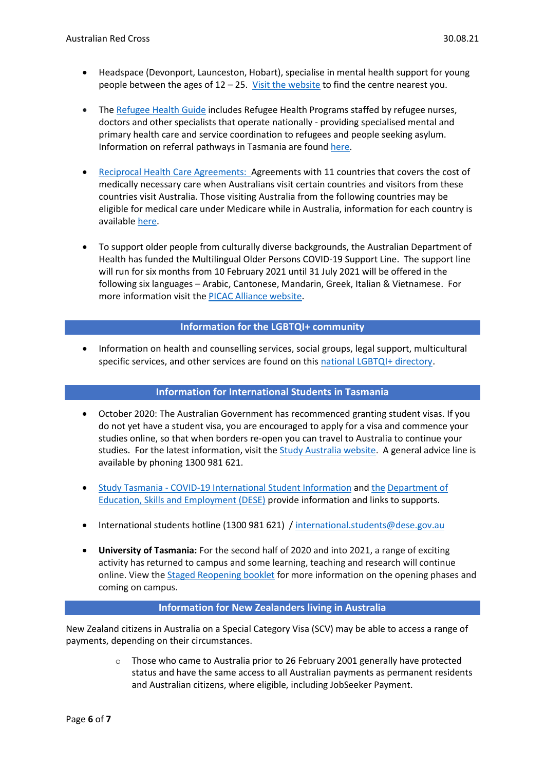- Headspace (Devonport, Launceston, Hobart), specialise in mental health support for young people between the ages of 12 – 25. [Visit the website](https://headspace.org.au/headspace-centres/) to find the centre nearest you.
- The [Refugee Health Guide](https://refugeehealthguide.org.au/referrals) includes Refugee Health Programs staffed by refugee nurses, doctors and other specialists that operate nationally - providing specialised mental and primary health care and service coordination to refugees and people seeking asylum. Information on referral pathways in Tasmania are found [here.](https://refugeehealthguide.org.au/referrals/tasmania/)
- [Reciprocal Health Care Agreements:](https://www.servicesaustralia.gov.au/individuals/services/medicare/reciprocal-health-care-agreements)Agreements with 11 countries that covers the cost of medically necessary care when Australians visit certain countries and visitors from these countries visit Australia. Those visiting Australia from the following countries may be eligible for medical care under Medicare while in Australia, information for each country is available [here.](https://www.servicesaustralia.gov.au/individuals/services/medicare/reciprocal-health-care-agreements/when-you-visit-australia)
- To support older people from culturally diverse backgrounds, the Australian Department of Health has funded the Multilingual Older Persons COVID-19 Support Line. The support line will run for six months from 10 February 2021 until 31 July 2021 will be offered in the following six languages – Arabic, Cantonese, Mandarin, Greek, Italian & Vietnamese. For more information visit the [PICAC Alliance website.](http://www.picacalliance.org/multilingual-older-persons-covid-19-support-line/)

## **Information for the LGBTQI+ community**

• Information on health and counselling services, social groups, legal support, multicultural specific services, and other services are found on thi[s national LGBTQI+ directory.](https://docs.google.com/spreadsheets/d/1CTv8NSkImdhclvS_ZJ61t1k33KPE5f4PF0wWApP6aFk/edit#gid=1868596043)

### **Information for International Students in Tasmania**

- October 2020: The Australian Government has recommenced granting student visas. If you do not yet have a student visa, you are encouraged to apply for a visa and commence your studies online, so that when borders re-open you can travel to Australia to continue your studies. For the latest information, visit th[e Study Australia website.](https://www.studyinaustralia.gov.au/English/Study-in-Australia-student-support/latest-information-and-updates-student-support) A general advice line is available by phoning 1300 981 621.
- Study Tasmania [COVID-19 International Student Information](https://www.studytasmania.tas.gov.au/COVID-19_Update_-_A_message_to_our_International_Students) and [the](http://www.dese.gov.au/) [Department of](https://www.dese.gov.au/covid-19/international-students)  [Education, Skills and Employment \(DESE\)](https://www.dese.gov.au/covid-19/international-students) provide information and links to supports.
- International students hotline (1300 981 621) / [international.students@dese.gov.au](mailto:international.students@dese.gov.au)
- **University of Tasmania:** For the second half of 2020 and into 2021, a range of exciting activity has returned to campus and some learning, teaching and research will continue online. View the [Staged Reopening booklet](https://online.flippingbook.com/view/2743) for more information on the opening phases and coming on campus.

# **Information for New Zealanders living in Australia**

New Zealand citizens in Australia on a Special Category Visa (SCV) may be able to access a range of payments, depending on their circumstances.

> $\circ$  Those who came to Australia prior to 26 February 2001 generally have protected status and have the same access to all Australian payments as permanent residents and Australian citizens, where eligible, including JobSeeker Payment.